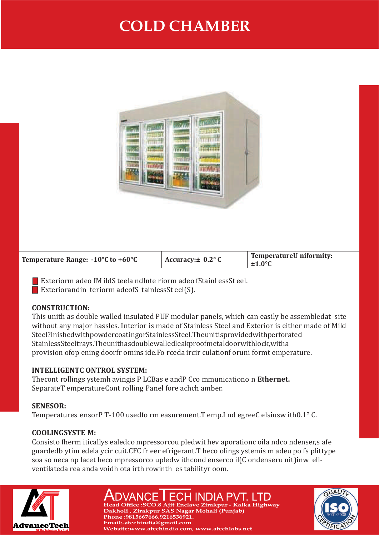# **COLD CHAMBER**



| Temperature Range: -10°C to +60°C | Accuracy: $\pm$ 0.2 $\degree$ C | <b>TemperatureU niformity:</b><br>$±1.0^{\circ}$ C |
|-----------------------------------|---------------------------------|----------------------------------------------------|
|-----------------------------------|---------------------------------|----------------------------------------------------|

Exteriorm adeo fM ildS teela ndInte riorm adeo fStainl essSt eel.

Exterior and in teriorm ade of S tainless St eel(S).

#### **CONSTRUCTION:**

This unith as double walled insulated PUF modular panels, which can easily be assembledat site without any major hassles. Interior is made of Stainless Steel and Exterior is either made of Mild Steel?inished with powder coating or Stainless Steel. The unitisprovided with perforated Stainless Steel trays. The unit has double walled leak proof metal door with lock, with a provision of op ening door fr omins ide. Fo rceda ir cir culation for uniform t emperature.

## **INTELLIGENTC ONTROL SYSTEM:**

The controlling system h aving is P LC Bas e and P C communication on **Ethernet.** SeparateT emperatureCont rolling Panel fore achch amber.

## **SENESOR:**

Temperatures ensor PT-100 used form easurement. T emp. I nd egree C elsius w ith  $0.1^{\circ}$  C.

## **COOLING SYSTE M:**

Consisto fherm iticallys ealed compressor cou pled wit hev aporation c oil a nd condenser, s afe guardedb y tim edela y cir cuit. CFC fr eer efrigerant. The co oling systemis m adeu po fs plittype soa so neca np lacet heco mpressorco upledw ithcond enserco il(C ondenseru nit) inw ellventilated a rea and a voidh ot a irth row in the stability room.



# DVANCE I ECH INDIA PVT. LTD **Head Office :SCO.8 Ajit Enclave Zirakpur - Kalka Highway**

**Dakholi , Zirakpur SAS Nagar Mohali (Punjab)**

**Website:www.atechindia.com, www.atechlabs.net** 

**Phone :9815667666,9216536921. Email:-atechindia@gmail.com**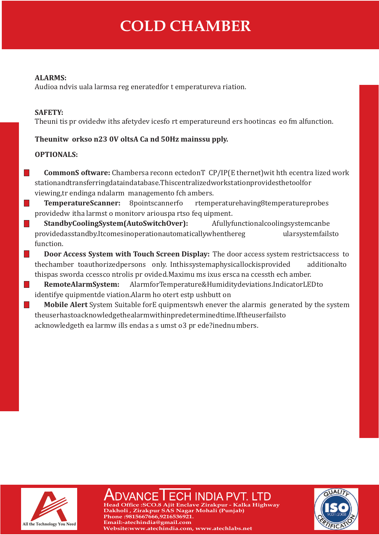# **COLD CHAMBER**

#### **ALARMS:**

Audioa ndvis uala larmsa reg enerated for t emperatureva riation.

#### **SAFETY:**

The unit is pr ovided w ith safety devices for t emperature und ers hootincas eo fm alfunction.

## **The unitw orkso n23 0V olts A Ca nd 50Hz mains supply.**

#### **OPTIONALS:**

**TI** 

**Tale** 

Ш

**The Second Second** 

**CommonS oftware:** Chambersa reconn ected on T CP/IP(E thernet) wit hth ecentra lized work station and transferring data indatabase. This centralized workstation provides the tool for viewing, tr ending a nd alarm management o fch ambers.

**Temperature Scanner:** 8 point scanner fo rtemperature having 8 temperature probes provided w ith a larmst o monitory arious parts of equipment.

**Standby Cooling System (Auto Switch Over):** A fully functional cooling system can be provided as stand by. It comes in operation automatically when the reg ular system fails to function.

 $\mathcal{L}_{\mathcal{A}}$ **Door Access System with Touch Screen Display:** The door access system restricts access to the chamber to authorized persons only. In this system aphysical lock is provided additional to thispas sworda ccessco ntrolis pr ovided. Maximu ms ixus ersca na ccessth ech amber.

 $\mathcal{L}^{\text{max}}$ **Remote Alarm System:** Alarm for Temperature & Humidity deviations. Indicator LED to identifye quipmentde viation. Alarm ho otert estp ushbutt on

**Mobile Alert** System Suitable for Equipments whenever the alarmis generated by the system the user has to acknowledge the alarm with in predetermined time. If the user fails to acknowledge th ea larmw ills end as a s umst o 3 pr ede?ined numbers.



**Head Ofce :SCO.8 Ajit Enclave Zirakpur - Kalka Highway Dakholi , Zirakpur SAS Nagar Mohali (Punjab) Phone :9815667666,9216536921. Email:-atechindia@gmail.com Website:www.atechindia.com, www.atechlabs.net**